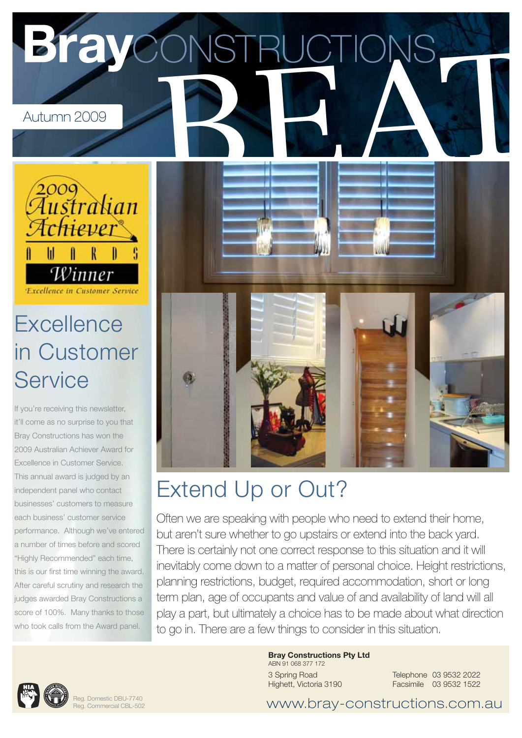

## Extend Up or Out?

Often we are speaking with people who need to extend their home, but aren't sure whether to go upstairs or extend into the back yard. There is certainly not one correct response to this situation and it will inevitably come down to a matter of personal choice. Height restrictions, planning restrictions, budget, required accommodation, short or long term plan, age of occupants and value of and availability of land will all play a part, but ultimately a choice has to be made about what direction to go in. There are a few things to consider in this situation.



independent panel who contact businesses' customers to measure each business' customer service performance. Although we've entered a number of times before and scored "Highly Recommended" each time, this is our first time winning the award. After careful scrutiny and research the judges awarded Bray Constructions a score of 100%. Many thanks to those who took calls from the Award panel.

> Reg. Domestic DBU-7740 Reg. Commercial CBL-502

**Bray Constructions Pty Ltd**

ABN 91 068 377 172 3 Spring Road Highett, Victoria 3190

Telephone 03 9532 2022 Facsimile 03 9532 1522

www.bray-constructions.com.au